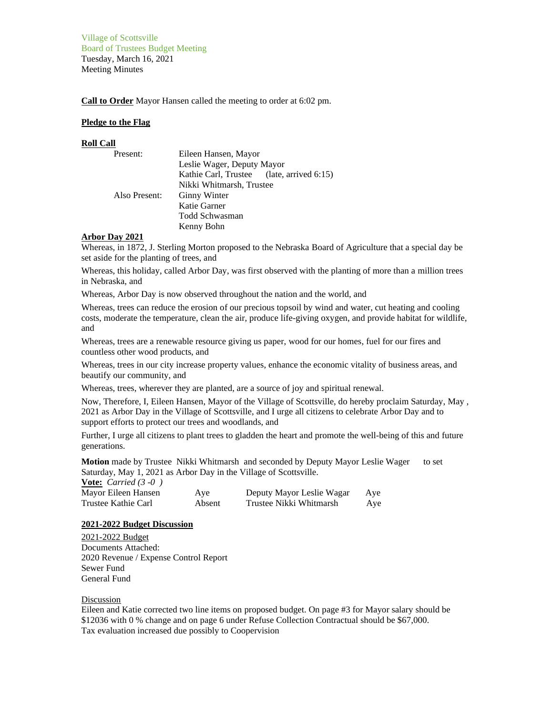Village of Scottsville Board of Trustees Budget Meeting Tuesday, March 16, 2021 Meeting Minutes

**Call to Order** Mayor Hansen called the meeting to order at 6:02 pm.

### **Pledge to the Flag**

#### **Roll Call**

| Present:      | Eileen Hansen, Mayor                      |  |  |
|---------------|-------------------------------------------|--|--|
|               | Leslie Wager, Deputy Mayor                |  |  |
|               | Kathie Carl, Trustee (late, arrived 6:15) |  |  |
|               | Nikki Whitmarsh, Trustee                  |  |  |
| Also Present: | <b>Ginny Winter</b>                       |  |  |
|               | Katie Garner                              |  |  |
|               | Todd Schwasman                            |  |  |
|               | Kenny Bohn                                |  |  |

## **Arbor Day 2021**

Whereas, in 1872, J. Sterling Morton proposed to the Nebraska Board of Agriculture that a special day be set aside for the planting of trees, and

Whereas, this holiday, called Arbor Day, was first observed with the planting of more than a million trees in Nebraska, and

Whereas, Arbor Day is now observed throughout the nation and the world, and

Whereas, trees can reduce the erosion of our precious topsoil by wind and water, cut heating and cooling costs, moderate the temperature, clean the air, produce life-giving oxygen, and provide habitat for wildlife, and

Whereas, trees are a renewable resource giving us paper, wood for our homes, fuel for our fires and countless other wood products, and

Whereas, trees in our city increase property values, enhance the economic vitality of business areas, and beautify our community, and

Whereas, trees, wherever they are planted, are a source of joy and spiritual renewal.

Now, Therefore, I, Eileen Hansen, Mayor of the Village of Scottsville, do hereby proclaim Saturday, May , 2021 as Arbor Day in the Village of Scottsville, and I urge all citizens to celebrate Arbor Day and to support efforts to protect our trees and woodlands, and

Further, I urge all citizens to plant trees to gladden the heart and promote the well-being of this and future generations.

**Motion** made by Trustee Nikki Whitmarsh and seconded by Deputy Mayor Leslie Wager to set Saturday, May 1, 2021 as Arbor Day in the Village of Scottsville.

| <b><u>Vote:</u></b> <i>Carried</i> $(3 - 0)$ |        |                           |     |
|----------------------------------------------|--------|---------------------------|-----|
| Mayor Eileen Hansen                          | Aye    | Deputy Mayor Leslie Wagar | Ave |
| Trustee Kathie Carl                          | Absent | Trustee Nikki Whitmarsh   | Aye |

## **2021-2022 Budget Discussion**

2021-2022 Budget Documents Attached: 2020 Revenue / Expense Control Report Sewer Fund General Fund

#### Discussion

Eileen and Katie corrected two line items on proposed budget. On page #3 for Mayor salary should be \$12036 with 0 % change and on page 6 under Refuse Collection Contractual should be \$67,000. Tax evaluation increased due possibly to Coopervision